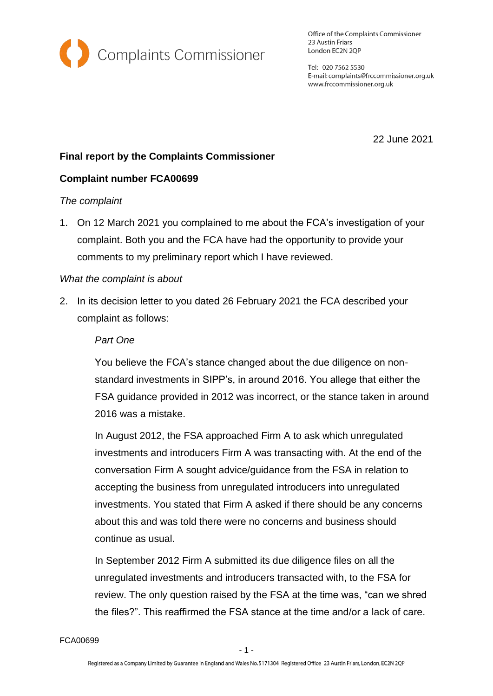

Office of the Complaints Commissioner 23 Austin Friars London EC2N 2QP

Tel: 020 7562 5530 E-mail: complaints@frccommissioner.org.uk www.frccommissioner.org.uk

22 June 2021

# **Final report by the Complaints Commissioner**

## **Complaint number FCA00699**

### *The complaint*

1. On 12 March 2021 you complained to me about the FCA's investigation of your complaint. Both you and the FCA have had the opportunity to provide your comments to my preliminary report which I have reviewed.

## *What the complaint is about*

2. In its decision letter to you dated 26 February 2021 the FCA described your complaint as follows:

#### *Part One*

You believe the FCA's stance changed about the due diligence on nonstandard investments in SIPP's, in around 2016. You allege that either the FSA guidance provided in 2012 was incorrect, or the stance taken in around 2016 was a mistake.

In August 2012, the FSA approached Firm A to ask which unregulated investments and introducers Firm A was transacting with. At the end of the conversation Firm A sought advice/guidance from the FSA in relation to accepting the business from unregulated introducers into unregulated investments. You stated that Firm A asked if there should be any concerns about this and was told there were no concerns and business should continue as usual.

In September 2012 Firm A submitted its due diligence files on all the unregulated investments and introducers transacted with, to the FSA for review. The only question raised by the FSA at the time was, "can we shred the files?". This reaffirmed the FSA stance at the time and/or a lack of care.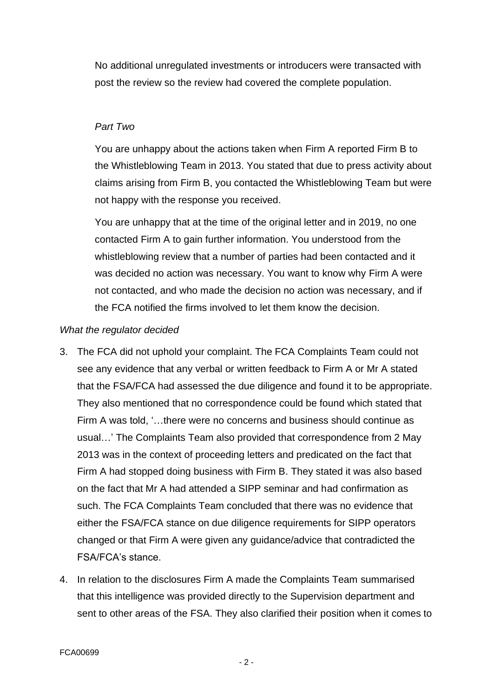No additional unregulated investments or introducers were transacted with post the review so the review had covered the complete population.

## *Part Two*

You are unhappy about the actions taken when Firm A reported Firm B to the Whistleblowing Team in 2013. You stated that due to press activity about claims arising from Firm B, you contacted the Whistleblowing Team but were not happy with the response you received.

You are unhappy that at the time of the original letter and in 2019, no one contacted Firm A to gain further information. You understood from the whistleblowing review that a number of parties had been contacted and it was decided no action was necessary. You want to know why Firm A were not contacted, and who made the decision no action was necessary, and if the FCA notified the firms involved to let them know the decision.

## *What the regulator decided*

- 3. The FCA did not uphold your complaint. The FCA Complaints Team could not see any evidence that any verbal or written feedback to Firm A or Mr A stated that the FSA/FCA had assessed the due diligence and found it to be appropriate. They also mentioned that no correspondence could be found which stated that Firm A was told, '…there were no concerns and business should continue as usual…' The Complaints Team also provided that correspondence from 2 May 2013 was in the context of proceeding letters and predicated on the fact that Firm A had stopped doing business with Firm B. They stated it was also based on the fact that Mr A had attended a SIPP seminar and had confirmation as such. The FCA Complaints Team concluded that there was no evidence that either the FSA/FCA stance on due diligence requirements for SIPP operators changed or that Firm A were given any guidance/advice that contradicted the FSA/FCA's stance.
- 4. In relation to the disclosures Firm A made the Complaints Team summarised that this intelligence was provided directly to the Supervision department and sent to other areas of the FSA. They also clarified their position when it comes to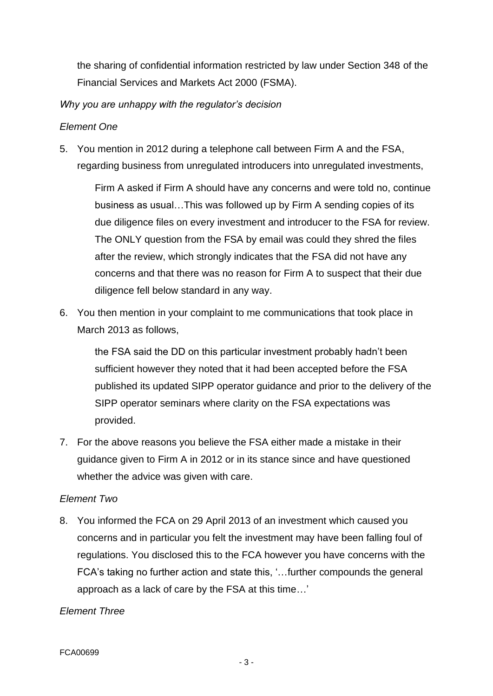the sharing of confidential information restricted by law under Section 348 of the Financial Services and Markets Act 2000 (FSMA).

*Why you are unhappy with the regulator's decision*

## *Element One*

5. You mention in 2012 during a telephone call between Firm A and the FSA, regarding business from unregulated introducers into unregulated investments,

Firm A asked if Firm A should have any concerns and were told no, continue business as usual…This was followed up by Firm A sending copies of its due diligence files on every investment and introducer to the FSA for review. The ONLY question from the FSA by email was could they shred the files after the review, which strongly indicates that the FSA did not have any concerns and that there was no reason for Firm A to suspect that their due diligence fell below standard in any way.

6. You then mention in your complaint to me communications that took place in March 2013 as follows,

the FSA said the DD on this particular investment probably hadn't been sufficient however they noted that it had been accepted before the FSA published its updated SIPP operator guidance and prior to the delivery of the SIPP operator seminars where clarity on the FSA expectations was provided.

7. For the above reasons you believe the FSA either made a mistake in their guidance given to Firm A in 2012 or in its stance since and have questioned whether the advice was given with care.

### *Element Two*

8. You informed the FCA on 29 April 2013 of an investment which caused you concerns and in particular you felt the investment may have been falling foul of regulations. You disclosed this to the FCA however you have concerns with the FCA's taking no further action and state this, '…further compounds the general approach as a lack of care by the FSA at this time…'

### *Element Three*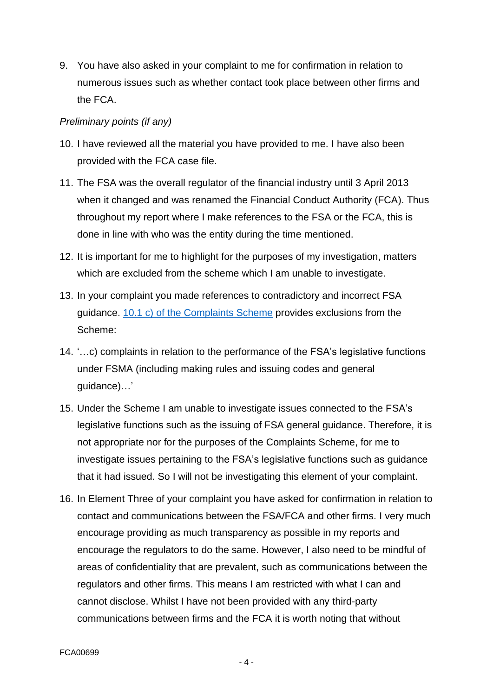9. You have also asked in your complaint to me for confirmation in relation to numerous issues such as whether contact took place between other firms and the FCA.

## *Preliminary points (if any)*

- 10. I have reviewed all the material you have provided to me. I have also been provided with the FCA case file.
- 11. The FSA was the overall regulator of the financial industry until 3 April 2013 when it changed and was renamed the Financial Conduct Authority (FCA). Thus throughout my report where I make references to the FSA or the FCA, this is done in line with who was the entity during the time mentioned.
- 12. It is important for me to highlight for the purposes of my investigation, matters which are excluded from the scheme which I am unable to investigate.
- 13. In your complaint you made references to contradictory and incorrect FSA guidance. 10.1 c) [of the Complaints Scheme](https://frccommissioner.org.uk/complaints-scheme/) provides exclusions from the Scheme:
- 14. '…c) complaints in relation to the performance of the FSA's legislative functions under FSMA (including making rules and issuing codes and general guidance)…'
- 15. Under the Scheme I am unable to investigate issues connected to the FSA's legislative functions such as the issuing of FSA general guidance. Therefore, it is not appropriate nor for the purposes of the Complaints Scheme, for me to investigate issues pertaining to the FSA's legislative functions such as guidance that it had issued. So I will not be investigating this element of your complaint.
- 16. In Element Three of your complaint you have asked for confirmation in relation to contact and communications between the FSA/FCA and other firms. I very much encourage providing as much transparency as possible in my reports and encourage the regulators to do the same. However, I also need to be mindful of areas of confidentiality that are prevalent, such as communications between the regulators and other firms. This means I am restricted with what I can and cannot disclose. Whilst I have not been provided with any third-party communications between firms and the FCA it is worth noting that without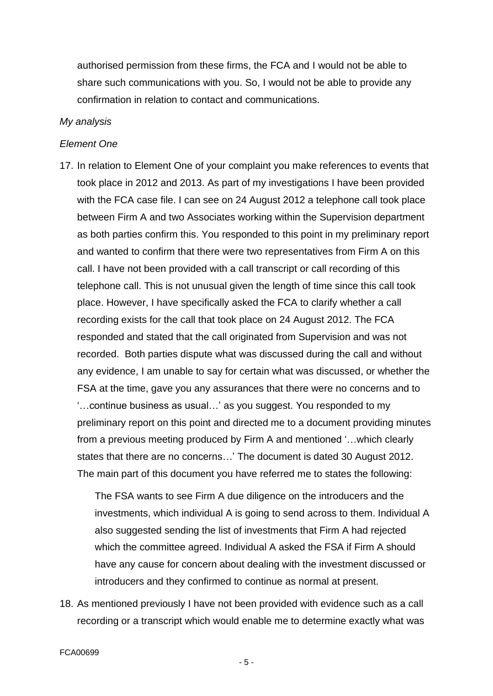authorised permission from these firms, the FCA and I would not be able to share such communications with you. So, I would not be able to provide any confirmation in relation to contact and communications.

#### *My analysis*

#### *Element One*

17. In relation to Element One of your complaint you make references to events that took place in 2012 and 2013. As part of my investigations I have been provided with the FCA case file. I can see on 24 August 2012 a telephone call took place between Firm A and two Associates working within the Supervision department as both parties confirm this. You responded to this point in my preliminary report and wanted to confirm that there were two representatives from Firm A on this call. I have not been provided with a call transcript or call recording of this telephone call. This is not unusual given the length of time since this call took place. However, I have specifically asked the FCA to clarify whether a call recording exists for the call that took place on 24 August 2012. The FCA responded and stated that the call originated from Supervision and was not recorded. Both parties dispute what was discussed during the call and without any evidence, I am unable to say for certain what was discussed, or whether the FSA at the time, gave you any assurances that there were no concerns and to '…continue business as usual…' as you suggest. You responded to my preliminary report on this point and directed me to a document providing minutes from a previous meeting produced by Firm A and mentioned '…which clearly states that there are no concerns…' The document is dated 30 August 2012. The main part of this document you have referred me to states the following:

The FSA wants to see Firm A due diligence on the introducers and the investments, which individual A is going to send across to them. Individual A also suggested sending the list of investments that Firm A had rejected which the committee agreed. Individual A asked the FSA if Firm A should have any cause for concern about dealing with the investment discussed or introducers and they confirmed to continue as normal at present.

18. As mentioned previously I have not been provided with evidence such as a call recording or a transcript which would enable me to determine exactly what was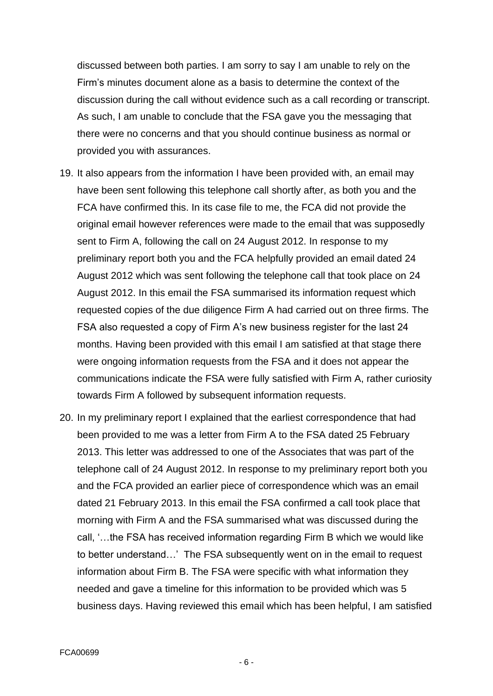discussed between both parties. I am sorry to say I am unable to rely on the Firm's minutes document alone as a basis to determine the context of the discussion during the call without evidence such as a call recording or transcript. As such, I am unable to conclude that the FSA gave you the messaging that there were no concerns and that you should continue business as normal or provided you with assurances.

- 19. It also appears from the information I have been provided with, an email may have been sent following this telephone call shortly after, as both you and the FCA have confirmed this. In its case file to me, the FCA did not provide the original email however references were made to the email that was supposedly sent to Firm A, following the call on 24 August 2012. In response to my preliminary report both you and the FCA helpfully provided an email dated 24 August 2012 which was sent following the telephone call that took place on 24 August 2012. In this email the FSA summarised its information request which requested copies of the due diligence Firm A had carried out on three firms. The FSA also requested a copy of Firm A's new business register for the last 24 months. Having been provided with this email I am satisfied at that stage there were ongoing information requests from the FSA and it does not appear the communications indicate the FSA were fully satisfied with Firm A, rather curiosity towards Firm A followed by subsequent information requests.
- 20. In my preliminary report I explained that the earliest correspondence that had been provided to me was a letter from Firm A to the FSA dated 25 February 2013. This letter was addressed to one of the Associates that was part of the telephone call of 24 August 2012. In response to my preliminary report both you and the FCA provided an earlier piece of correspondence which was an email dated 21 February 2013. In this email the FSA confirmed a call took place that morning with Firm A and the FSA summarised what was discussed during the call, '…the FSA has received information regarding Firm B which we would like to better understand…' The FSA subsequently went on in the email to request information about Firm B. The FSA were specific with what information they needed and gave a timeline for this information to be provided which was 5 business days. Having reviewed this email which has been helpful, I am satisfied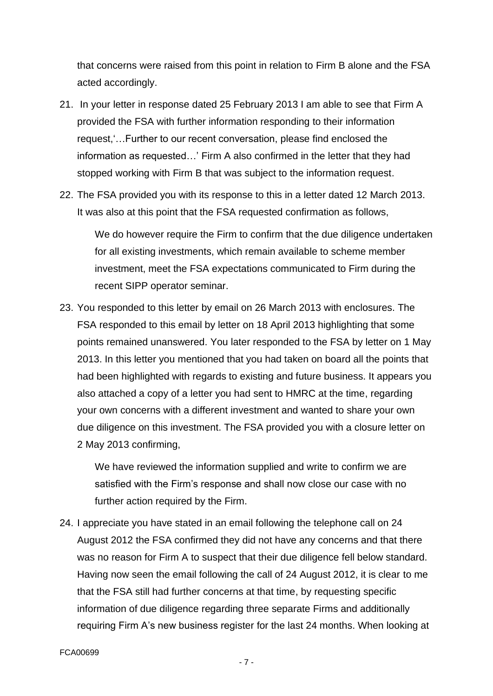that concerns were raised from this point in relation to Firm B alone and the FSA acted accordingly.

- 21. In your letter in response dated 25 February 2013 I am able to see that Firm A provided the FSA with further information responding to their information request,'…Further to our recent conversation, please find enclosed the information as requested…' Firm A also confirmed in the letter that they had stopped working with Firm B that was subject to the information request.
- 22. The FSA provided you with its response to this in a letter dated 12 March 2013. It was also at this point that the FSA requested confirmation as follows,

We do however require the Firm to confirm that the due diligence undertaken for all existing investments, which remain available to scheme member investment, meet the FSA expectations communicated to Firm during the recent SIPP operator seminar.

23. You responded to this letter by email on 26 March 2013 with enclosures. The FSA responded to this email by letter on 18 April 2013 highlighting that some points remained unanswered. You later responded to the FSA by letter on 1 May 2013. In this letter you mentioned that you had taken on board all the points that had been highlighted with regards to existing and future business. It appears you also attached a copy of a letter you had sent to HMRC at the time, regarding your own concerns with a different investment and wanted to share your own due diligence on this investment. The FSA provided you with a closure letter on 2 May 2013 confirming,

We have reviewed the information supplied and write to confirm we are satisfied with the Firm's response and shall now close our case with no further action required by the Firm.

24. I appreciate you have stated in an email following the telephone call on 24 August 2012 the FSA confirmed they did not have any concerns and that there was no reason for Firm A to suspect that their due diligence fell below standard. Having now seen the email following the call of 24 August 2012, it is clear to me that the FSA still had further concerns at that time, by requesting specific information of due diligence regarding three separate Firms and additionally requiring Firm A's new business register for the last 24 months. When looking at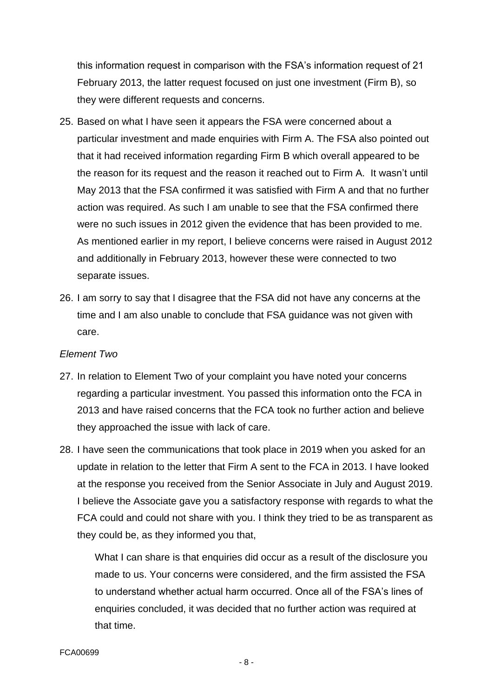this information request in comparison with the FSA's information request of 21 February 2013, the latter request focused on just one investment (Firm B), so they were different requests and concerns.

- 25. Based on what I have seen it appears the FSA were concerned about a particular investment and made enquiries with Firm A. The FSA also pointed out that it had received information regarding Firm B which overall appeared to be the reason for its request and the reason it reached out to Firm A. It wasn't until May 2013 that the FSA confirmed it was satisfied with Firm A and that no further action was required. As such I am unable to see that the FSA confirmed there were no such issues in 2012 given the evidence that has been provided to me. As mentioned earlier in my report, I believe concerns were raised in August 2012 and additionally in February 2013, however these were connected to two separate issues.
- 26. I am sorry to say that I disagree that the FSA did not have any concerns at the time and I am also unable to conclude that FSA guidance was not given with care.

### *Element Two*

- 27. In relation to Element Two of your complaint you have noted your concerns regarding a particular investment. You passed this information onto the FCA in 2013 and have raised concerns that the FCA took no further action and believe they approached the issue with lack of care.
- 28. I have seen the communications that took place in 2019 when you asked for an update in relation to the letter that Firm A sent to the FCA in 2013. I have looked at the response you received from the Senior Associate in July and August 2019. I believe the Associate gave you a satisfactory response with regards to what the FCA could and could not share with you. I think they tried to be as transparent as they could be, as they informed you that,

What I can share is that enquiries did occur as a result of the disclosure you made to us. Your concerns were considered, and the firm assisted the FSA to understand whether actual harm occurred. Once all of the FSA's lines of enquiries concluded, it was decided that no further action was required at that time.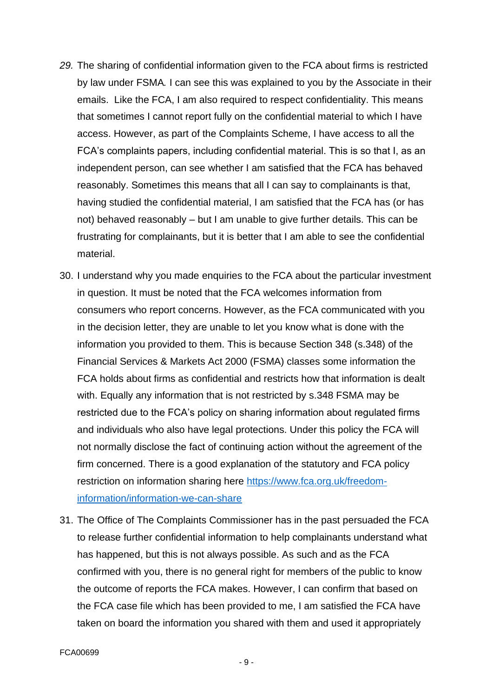- *29.* The sharing of confidential information given to the FCA about firms is restricted by law under FSMA*.* I can see this was explained to you by the Associate in their emails. Like the FCA, I am also required to respect confidentiality. This means that sometimes I cannot report fully on the confidential material to which I have access. However, as part of the Complaints Scheme, I have access to all the FCA's complaints papers, including confidential material. This is so that I, as an independent person, can see whether I am satisfied that the FCA has behaved reasonably. Sometimes this means that all I can say to complainants is that, having studied the confidential material, I am satisfied that the FCA has (or has not) behaved reasonably – but I am unable to give further details. This can be frustrating for complainants, but it is better that I am able to see the confidential material.
- 30. I understand why you made enquiries to the FCA about the particular investment in question. It must be noted that the FCA welcomes information from consumers who report concerns. However, as the FCA communicated with you in the decision letter, they are unable to let you know what is done with the information you provided to them. This is because Section 348 (s.348) of the Financial Services & Markets Act 2000 (FSMA) classes some information the FCA holds about firms as confidential and restricts how that information is dealt with. Equally any information that is not restricted by s.348 FSMA may be restricted due to the FCA's policy on sharing information about regulated firms and individuals who also have legal protections. Under this policy the FCA will not normally disclose the fact of continuing action without the agreement of the firm concerned. There is a good explanation of the statutory and FCA policy restriction on information sharing here [https://www.fca.org.uk/freedom](https://www.fca.org.uk/freedom-information/information-we-can-share)[information/information-we-can-share](https://www.fca.org.uk/freedom-information/information-we-can-share)
- 31. The Office of The Complaints Commissioner has in the past persuaded the FCA to release further confidential information to help complainants understand what has happened, but this is not always possible. As such and as the FCA confirmed with you, there is no general right for members of the public to know the outcome of reports the FCA makes. However, I can confirm that based on the FCA case file which has been provided to me, I am satisfied the FCA have taken on board the information you shared with them and used it appropriately